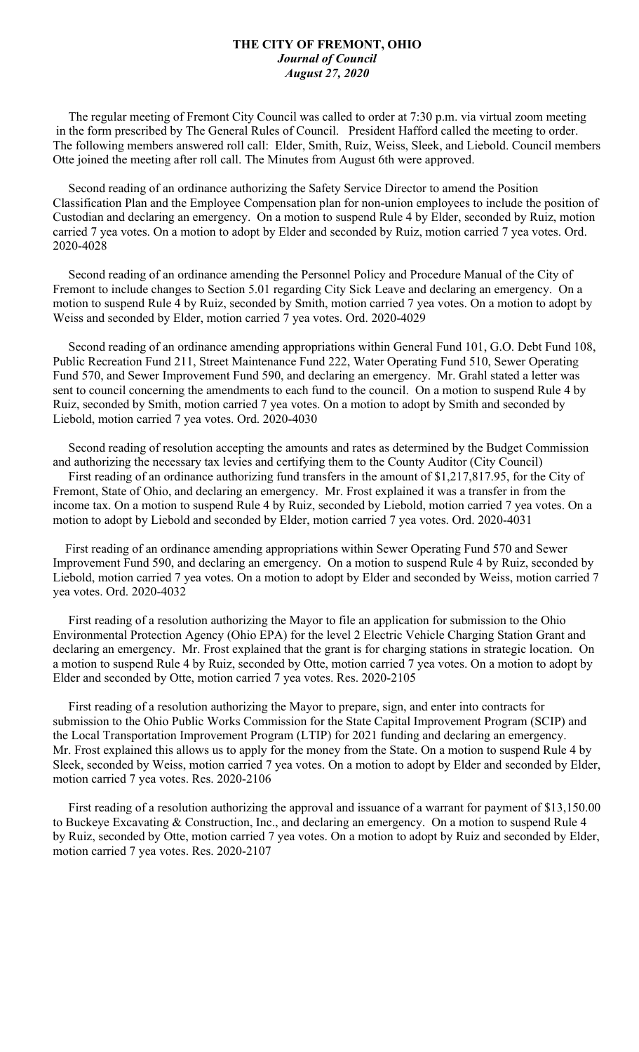## **THE CITY OF FREMONT, OHIO** *Journal of Council August 27, 2020*

 The regular meeting of Fremont City Council was called to order at 7:30 p.m. via virtual zoom meeting in the form prescribed by The General Rules of Council. President Hafford called the meeting to order. The following members answered roll call: Elder, Smith, Ruiz, Weiss, Sleek, and Liebold. Council members Otte joined the meeting after roll call. The Minutes from August 6th were approved.

 Second reading of an ordinance authorizing the Safety Service Director to amend the Position Classification Plan and the Employee Compensation plan for non-union employees to include the position of Custodian and declaring an emergency. On a motion to suspend Rule 4 by Elder, seconded by Ruiz, motion carried 7 yea votes. On a motion to adopt by Elder and seconded by Ruiz, motion carried 7 yea votes. Ord. 2020-4028

 Second reading of an ordinance amending the Personnel Policy and Procedure Manual of the City of Fremont to include changes to Section 5.01 regarding City Sick Leave and declaring an emergency. On a motion to suspend Rule 4 by Ruiz, seconded by Smith, motion carried 7 yea votes. On a motion to adopt by Weiss and seconded by Elder, motion carried 7 yea votes. Ord. 2020-4029

 Second reading of an ordinance amending appropriations within General Fund 101, G.O. Debt Fund 108, Public Recreation Fund 211, Street Maintenance Fund 222, Water Operating Fund 510, Sewer Operating Fund 570, and Sewer Improvement Fund 590, and declaring an emergency. Mr. Grahl stated a letter was sent to council concerning the amendments to each fund to the council. On a motion to suspend Rule 4 by Ruiz, seconded by Smith, motion carried 7 yea votes. On a motion to adopt by Smith and seconded by Liebold, motion carried 7 yea votes. Ord. 2020-4030

 Second reading of resolution accepting the amounts and rates as determined by the Budget Commission and authorizing the necessary tax levies and certifying them to the County Auditor (City Council)

 First reading of an ordinance authorizing fund transfers in the amount of \$1,217,817.95, for the City of Fremont, State of Ohio, and declaring an emergency. Mr. Frost explained it was a transfer in from the income tax. On a motion to suspend Rule 4 by Ruiz, seconded by Liebold, motion carried 7 yea votes. On a motion to adopt by Liebold and seconded by Elder, motion carried 7 yea votes. Ord. 2020-4031

 First reading of an ordinance amending appropriations within Sewer Operating Fund 570 and Sewer Improvement Fund 590, and declaring an emergency. On a motion to suspend Rule 4 by Ruiz, seconded by Liebold, motion carried 7 yea votes. On a motion to adopt by Elder and seconded by Weiss, motion carried 7 yea votes. Ord. 2020-4032

 First reading of a resolution authorizing the Mayor to file an application for submission to the Ohio Environmental Protection Agency (Ohio EPA) for the level 2 Electric Vehicle Charging Station Grant and declaring an emergency. Mr. Frost explained that the grant is for charging stations in strategic location. On a motion to suspend Rule 4 by Ruiz, seconded by Otte, motion carried 7 yea votes. On a motion to adopt by Elder and seconded by Otte, motion carried 7 yea votes. Res. 2020-2105

 First reading of a resolution authorizing the Mayor to prepare, sign, and enter into contracts for submission to the Ohio Public Works Commission for the State Capital Improvement Program (SCIP) and the Local Transportation Improvement Program (LTIP) for 2021 funding and declaring an emergency. Mr. Frost explained this allows us to apply for the money from the State. On a motion to suspend Rule 4 by Sleek, seconded by Weiss, motion carried 7 yea votes. On a motion to adopt by Elder and seconded by Elder, motion carried 7 yea votes. Res. 2020-2106

 First reading of a resolution authorizing the approval and issuance of a warrant for payment of \$13,150.00 to Buckeye Excavating & Construction, Inc., and declaring an emergency. On a motion to suspend Rule 4 by Ruiz, seconded by Otte, motion carried 7 yea votes. On a motion to adopt by Ruiz and seconded by Elder, motion carried 7 yea votes. Res. 2020-2107